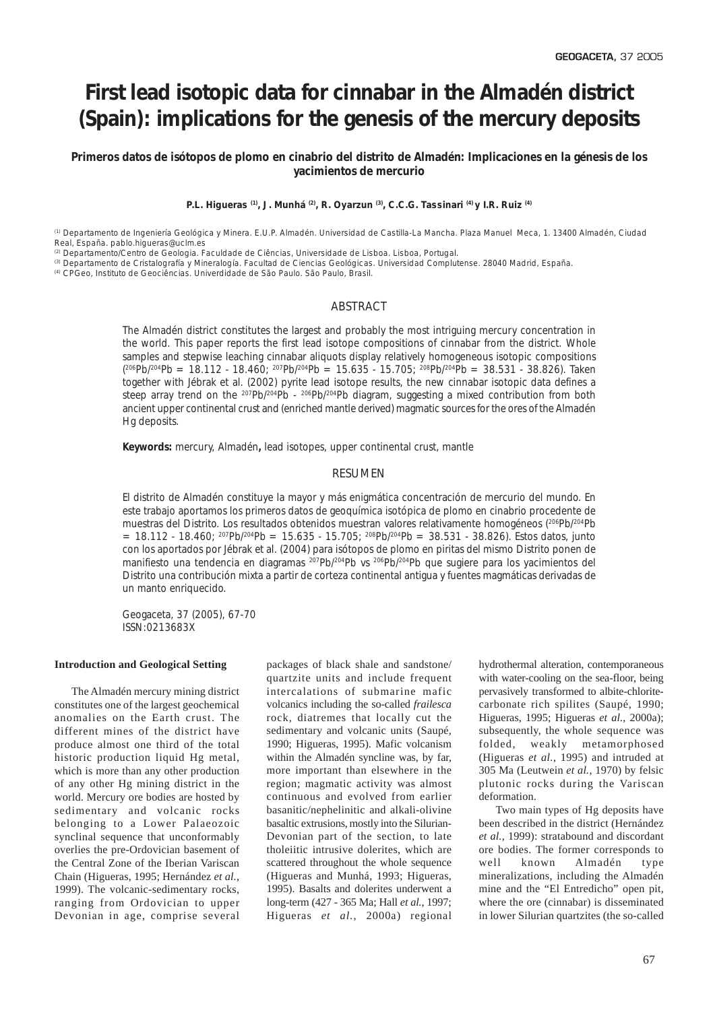# **First lead isotopic data for cinnabar in the Almadén district (Spain): implications for the genesis of the mercury deposits**

*Primeros datos de isótopos de plomo en cinabrio del distrito de Almadén: Implicaciones en la génesis de los yacimientos de mercurio*

**P.L. Higueras (1), J. Munhá (2), R. Oyarzun (3), C.C.G. Tassinari (4) y I.R. Ruiz (4)**

(1) Departamento de Ingeniería Geológica y Minera. E.U.P. Almadén. Universidad de Castilla-La Mancha. Plaza Manuel Meca, 1. 13400 Almadén, Ciudad Real, España. pablo.higueras@uclm.es

<sup>(2)</sup> Departamento/Centro de Geologia. Faculdade de Ciências, Universidade de Lisboa. Lisboa, Portugal.

(3) Departamento de Cristalografía y Mineralogía. Facultad de Ciencias Geológicas. Universidad Complutense. 28040 Madrid, España.

(4) CPGeo, Instituto de Geociências. Univerdidade de São Paulo. São Paulo, Brasil.

## ABSTRACT

*The Almadén district constitutes the largest and probably the most intriguing mercury concentration in the world. This paper reports the first lead isotope compositions of cinnabar from the district. Whole samples and stepwise leaching cinnabar aliquots display relatively homogeneous isotopic compositions ( 206Pb/204Pb = 18.112 - 18.460; 207Pb/204Pb = 15.635 - 15.705; 208Pb/204Pb = 38.531 - 38.826). Taken together with Jébrak et al. (2002) pyrite lead isotope results, the new cinnabar isotopic data defines a steep array trend on the 207Pb/204Pb - 206Pb/204Pb diagram, suggesting a mixed contribution from both ancient upper continental crust and (enriched mantle derived) magmatic sources for the ores of the Almadén Hg deposits.*

*Keywords: mercury, Almadén, lead isotopes, upper continental crust, mantle*

#### RESUMEN

*El distrito de Almadén constituye la mayor y más enigmática concentración de mercurio del mundo. En este trabajo aportamos los primeros datos de geoquímica isotópica de plomo en cinabrio procedente de muestras del Distrito. Los resultados obtenidos muestran valores relativamente homogéneos (206Pb/204Pb = 18.112 - 18.460; 207Pb/204Pb = 15.635 - 15.705; 208Pb/204Pb = 38.531 - 38.826). Estos datos, junto con los aportados por Jébrak et al. (2004) para isótopos de plomo en piritas del mismo Distrito ponen de manifiesto una tendencia en diagramas 207Pb/204Pb* vs *206Pb/204Pb que sugiere para los yacimientos del Distrito una contribución mixta a partir de corteza continental antigua y fuentes magmáticas derivadas de un manto enriquecido.*

*Geogaceta, 37 (2005), 67-70 ISSN:0213683X*

#### **Introduction and Geological Setting**

The Almadén mercury mining district constitutes one of the largest geochemical anomalies on the Earth crust. The different mines of the district have produce almost one third of the total historic production liquid Hg metal, which is more than any other production of any other Hg mining district in the world. Mercury ore bodies are hosted by sedimentary and volcanic rocks belonging to a Lower Palaeozoic synclinal sequence that unconformably overlies the pre-Ordovician basement of the Central Zone of the Iberian Variscan Chain (Higueras, 1995; Hernández *et al.*, 1999). The volcanic-sedimentary rocks, ranging from Ordovician to upper Devonian in age, comprise several

packages of black shale and sandstone/ quartzite units and include frequent intercalations of submarine mafic volcanics including the so-called *frailesca* rock, diatremes that locally cut the sedimentary and volcanic units (Saupé, 1990; Higueras, 1995). Mafic volcanism within the Almadén syncline was, by far, more important than elsewhere in the region; magmatic activity was almost continuous and evolved from earlier basanitic/nephelinitic and alkali-olivine basaltic extrusions, mostly into the Silurian-Devonian part of the section, to late tholeiitic intrusive dolerites, which are scattered throughout the whole sequence (Higueras and Munhá, 1993; Higueras, 1995). Basalts and dolerites underwent a long-term (427 - 365 Ma; Hall *et al.*, 1997; Higueras *et al.*, 2000a) regional

hydrothermal alteration, contemporaneous with water-cooling on the sea-floor, being pervasively transformed to albite-chloritecarbonate rich spilites (Saupé, 1990; Higueras, 1995; Higueras *et al.*, 2000a); subsequently, the whole sequence was folded, weakly metamorphosed (Higueras *et al.*, 1995) and intruded at 305 Ma (Leutwein *et al.*, 1970) by felsic plutonic rocks during the Variscan deformation.

Two main types of Hg deposits have been described in the district (Hernández *et al.*, 1999): stratabound and discordant ore bodies. The former corresponds to well known Almadén type mineralizations, including the Almadén mine and the "El Entredicho" open pit, where the ore (cinnabar) is disseminated in lower Silurian quartzites (the so-called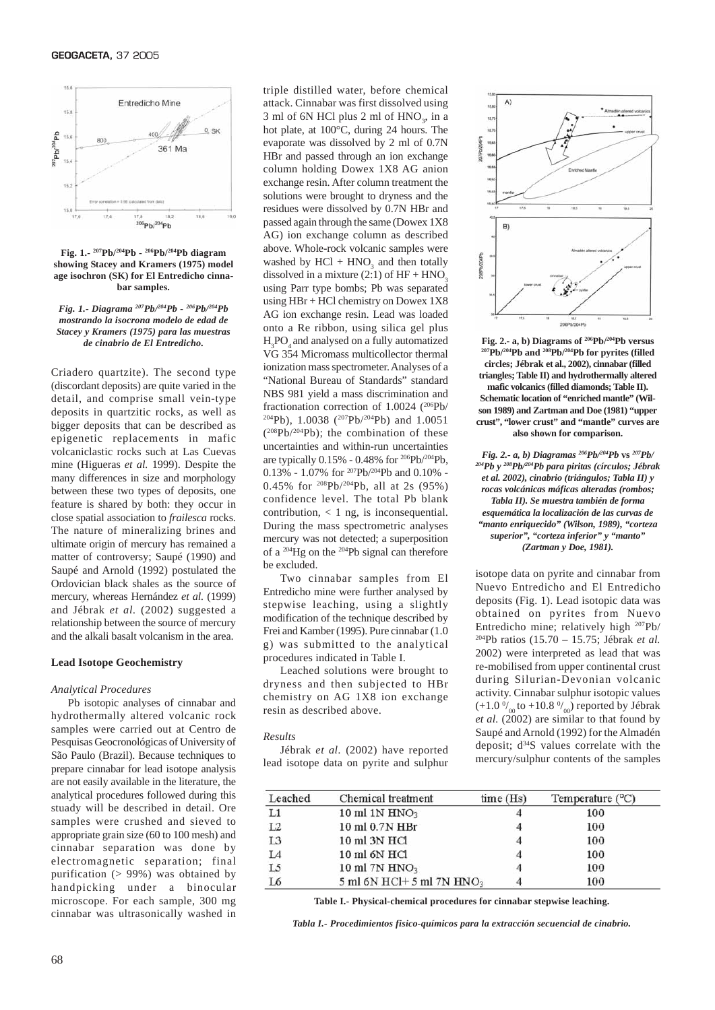

**Fig. 1.- 207Pb/204Pb - 206Pb/204Pb diagram showing Stacey and Kramers (1975) model age isochron (SK) for El Entredicho cinnabar samples.**

*Fig. 1.- Diagrama 207Pb/204Pb - 206Pb/204Pb mostrando la isocrona modelo de edad de Stacey y Kramers (1975) para las muestras*

Criadero quartzite). The second type (discordant deposits) are quite varied in the detail, and comprise small vein-type deposits in quartzitic rocks, as well as bigger deposits that can be described as epigenetic replacements in mafic volcaniclastic rocks such at Las Cuevas mine (Higueras *et al.* 1999). Despite the many differences in size and morphology between these two types of deposits, one feature is shared by both: they occur in close spatial association to *frailesca* rocks. The nature of mineralizing brines and ultimate origin of mercury has remained a matter of controversy; Saupé (1990) and Saupé and Arnold (1992) postulated the Ordovician black shales as the source of mercury, whereas Hernández *et al.* (1999) and Jébrak *et al.* (2002) suggested a relationship between the source of mercury and the alkali basalt volcanism in the area.

#### **Lead Isotope Geochemistry**

#### *Analytical Procedures*

Pb isotopic analyses of cinnabar and hydrothermally altered volcanic rock samples were carried out at Centro de Pesquisas Geocronológicas of University of São Paulo (Brazil). Because techniques to prepare cinnabar for lead isotope analysis are not easily available in the literature, the analytical procedures followed during this stuady will be described in detail. Ore samples were crushed and sieved to appropriate grain size (60 to 100 mesh) and cinnabar separation was done by electromagnetic separation; final purification (> 99%) was obtained by handpicking under a binocular microscope. For each sample, 300 mg cinnabar was ultrasonically washed in

triple distilled water, before chemical attack. Cinnabar was first dissolved using  $3 \text{ ml of } 6N \text{ HCl plus } 2 \text{ ml of } \text{HNO}_3$ , in a hot plate, at 100°C, during 24 hours. The evaporate was dissolved by 2 ml of 0.7N HBr and passed through an ion exchange column holding Dowex 1X8 AG anion exchange resin. After column treatment the solutions were brought to dryness and the residues were dissolved by 0.7N HBr and passed again through the same (Dowex 1X8 AG) ion exchange column as described above. Whole-rock volcanic samples were washed by  $HCl + HNO<sub>3</sub>$  and then totally dissolved in a mixture  $(2:1)$  of  $HF + HNO$ using Parr type bombs; Pb was separated using HBr + HCl chemistry on Dowex 1X8 AG ion exchange resin. Lead was loaded onto a Re ribbon, using silica gel plus  $H_3PO_4$  and analysed on a fully automatized VG 354 Micromass multicollector thermal ionization mass spectrometer. Analyses of a "National Bureau of Standards" standard NBS 981 yield a mass discrimination and fractionation correction of 1.0024 (206Pb/ 204Pb), 1.0038 (207Pb/204Pb) and 1.0051  $(^{208}Pb/^{204}Pb)$ ; the combination of these uncertainties and within-run uncertainties are typically 0.15% - 0.48% for 206Pb/204Pb, 0.13% - 1.07% for <sup>207</sup>Pb/<sup>204</sup>Pb and 0.10% -0.45% for 208Pb/204Pb, all at 2s (95%) confidence level. The total Pb blank contribution, < 1 ng, is inconsequential. During the mass spectrometric analyses mercury was not detected; a superposition of a 204Hg on the 204Pb signal can therefore be excluded. *de cinabrio de El Entredicho.*  $H_3PO_4$  and analysed on a fully automatized **Fig. 2.- a, b) Diagrams of <sup>206</sup>Pb/<sup>204</sup>Pb versus<br>VG 354 Micromass multicollector thermal <sup>207</sup>Pb/<sup>204</sup>Pb and <sup>208</sup>Pb/<sup>204</sup>Pb for pyrites (fill** 

> Two cinnabar samples from El Entredicho mine were further analysed by stepwise leaching, using a slightly modification of the technique described by Frei and Kamber (1995). Pure cinnabar (1.0 g) was submitted to the analytical procedures indicated in Table I.

> Leached solutions were brought to dryness and then subjected to HBr chemistry on AG 1X8 ion exchange resin as described above.

#### *Results*

Jébrak *et al.* (2002) have reported lead isotope data on pyrite and sulphur



**circles; Jébrak et al., 2002), cinnabar (filled triangles; Table II) and hydrothermally altered mafic volcanics (filled diamonds; Table II). Schematic location of "enriched mantle" (Wilson 1989) and Zartman and Doe (1981) "upper crust", "lower crust" and "mantle" curves are also shown for comparison.**

*Fig. 2.- a, b) Diagramas 206Pb/204Pb* **vs** *207Pb/ 204Pb y 208Pb/204Pb para piritas (círculos; Jébrak et al. 2002), cinabrio (triángulos; Tabla II) y rocas volcánicas máficas alteradas (rombos; Tabla II). Se muestra también de forma esquemática la localización de las curvas de "manto enriquecido" (Wilson, 1989), "corteza superior", "corteza inferior" y "manto" (Zartman y Doe, 1981).*

isotope data on pyrite and cinnabar from Nuevo Entredicho and El Entredicho deposits (Fig. 1). Lead isotopic data was obtained on pyrites from Nuevo Entredicho mine; relatively high 207Pb/ 204Pb ratios (15.70 – 15.75; Jébrak *et al.* 2002) were interpreted as lead that was re-mobilised from upper continental crust during Silurian-Devonian volcanic activity. Cinnabar sulphur isotopic values  $(+1.0\frac{0}{00})$  to  $+10.8\frac{0}{00}$  reported by Jébrak *et al.* (2002) are similar to that found by Saupé and Arnold (1992) for the Almadén deposit;  $d^{34}S$  values correlate with the mercury/sulphur contents of the samples

| Leached        | Chemical treatment                    | time(Hs) | Temperature $(^{\circ}C)$ |  |
|----------------|---------------------------------------|----------|---------------------------|--|
| L1             | $10 \text{ ml} 1 \text{N HNO}_3$      |          | 100                       |  |
| L2             | 10 ml 0.7N HBr                        | 4        | 100                       |  |
| L <sub>3</sub> | 10 ml 3N HCl                          | 4        | 100                       |  |
| LA             | 10 ml 6N HCl                          | 4        | 100                       |  |
| L5             | 10 ml 7N $HNO3$                       | 4        | 100                       |  |
| L6             | 5 ml 6N HCl+ 5 ml 7N HNO <sub>3</sub> |          | 100                       |  |

**Table I.- Physical-chemical procedures for cinnabar stepwise leaching.**

*Tabla I.- Procedimientos fisico-químicos para la extracción secuencial de cinabrio.*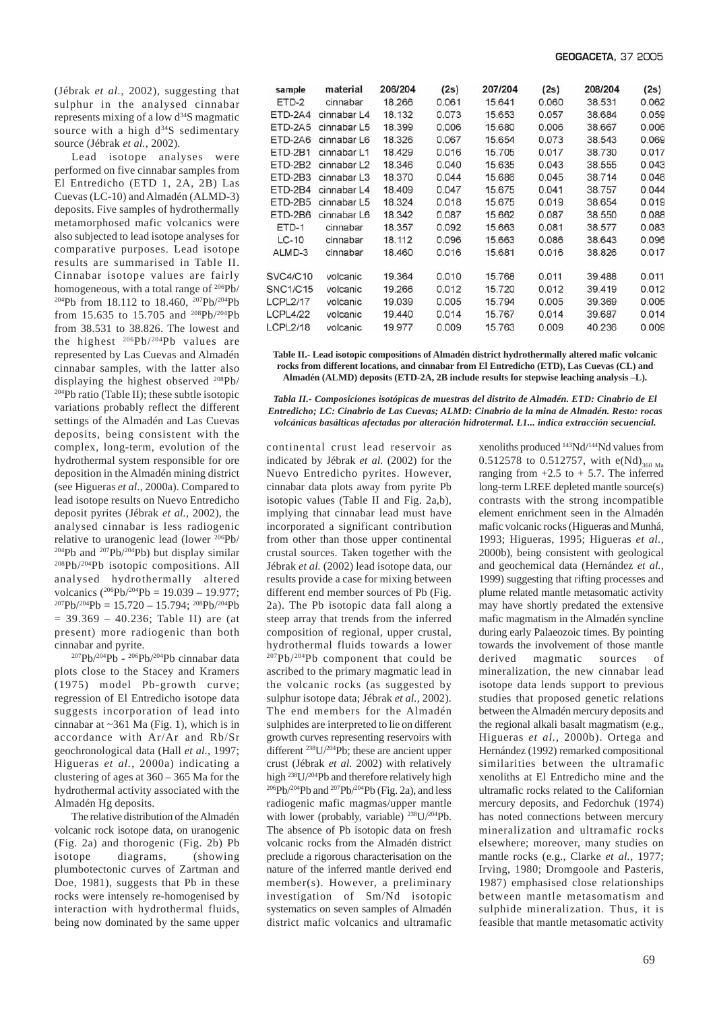(Jébrak *et al.*, 2002), suggesting that sulphur in the analysed cinnabar represents mixing of a low d34S magmatic source with a high  $d^{34}S$  sedimentary source (Jébrak *et al.*, 2002).

Lead isotope analyses were performed on five cinnabar samples from El Entredicho (ETD 1, 2A, 2B) Las Cuevas (LC-10) and Almadén (ALMD-3) deposits. Five samples of hydrothermally metamorphosed mafic volcanics were also subjected to lead isotope analyses for comparative purposes. Lead isotope results are summarised in Table II. Cinnabar isotope values are fairly homogeneous, with a total range of 206Pb/ 204Pb from 18.112 to 18.460, 207Pb/204Pb from 15.635 to 15.705 and 208Pb/204Pb from 38.531 to 38.826. The lowest and the highest  $206Pb/204Pb$  values are represented by Las Cuevas and Almadén cinnabar samples, with the latter also displaying the highest observed 208Pb/ 204Pb ratio (Table II); these subtle isotopic variations probably reflect the different settings of the Almadén and Las Cuevas deposits, being consistent with the complex, long-term, evolution of the hydrothermal system responsible for ore deposition in the Almadén mining district (see Higueras *et al.*, 2000a). Compared to lead isotope results on Nuevo Entredicho deposit pyrites (Jébrak *et al.*, 2002), the analysed cinnabar is less radiogenic relative to uranogenic lead (lower 206Pb/ <sup>204</sup>Pb and <sup>207</sup>Pb/<sup>204</sup>Pb) but display similar 208Pb/204Pb isotopic compositions. All analysed hydrothermally altered volcanics  $(^{206}Pb/^{204}Pb = 19.039 - 19.977$ ;  $^{207}Pb/^{204}Pb = 15.720 - 15.794$ ;  $^{208}Pb/^{204}Pb$  $= 39.369 - 40.236$ ; Table II) are (at present) more radiogenic than both cinnabar and pyrite.

207Pb/204Pb - 206Pb/204Pb cinnabar data plots close to the Stacey and Kramers (1975) model Pb-growth curve; regression of El Entredicho isotope data suggests incorporation of lead into cinnabar at  $\sim$ 361 Ma (Fig. 1), which is in accordance with Ar/Ar and Rb/Sr geochronological data (Hall *et al.*, 1997; Higueras *et al.*, 2000a) indicating a clustering of ages at 360 – 365 Ma for the hydrothermal activity associated with the Almadén Hg deposits.

The relative distribution of the Almadén volcanic rock isotope data, on uranogenic (Fig. 2a) and thorogenic (Fig. 2b) Pb isotope diagrams, (showing plumbotectonic curves of Zartman and Doe, 1981), suggests that Pb in these rocks were intensely re-homogenised by interaction with hydrothermal fluids, being now dominated by the same upper

| sample          | material                | 206/204 | (2s)  | 207/204 | (2s)  | 208/204 | (2s)  |
|-----------------|-------------------------|---------|-------|---------|-------|---------|-------|
| ETD-2           | cinnabar                | 18.266  | 0.061 | 15.641  | 0.060 | 38.531  | 0.062 |
| ETD-2A4         | cinnabar L4             | 18.132  | 0.073 | 15.653  | 0.057 | 38.684  | 0.059 |
| ETD-2A5         | cinnabar L5             | 18.399  | 0.006 | 15,680  | 0.006 | 38.667  | 0.006 |
| ETD-2A6         | cinnabar L6             | 18.326  | 0.067 | 15.654  | 0.073 | 38.543  | 0.069 |
| ETD-2B1         | cinnabar L1             | 18.429  | 0.016 | 15.705  | 0.017 | 38.730  | 0.017 |
| ETD-2B2         | cinnabar L <sub>2</sub> | 18.346  | 0.040 | 15.635  | 0.043 | 38.555  | 0.043 |
| ETD-2B3         | cinnabar L <sub>3</sub> | 18.370  | 0.044 | 15.686  | 0.045 | 38.714  | 0.046 |
| ETD-2B4         | cinnabar L4             | 18.409  | 0.047 | 15.675  | 0.041 | 38.757  | 0.044 |
| ETD-2B5         | cinnabar L5             | 18.324  | 0.018 | 15.675  | 0.019 | 38.654  | 0.019 |
| ETD-2B6         | cinnabar L6             | 18.342  | 0.087 | 15.662  | 0.087 | 38.550  | 0.088 |
| ETD-1           | cinnabar                | 18.357  | 0.092 | 15.663  | 0.081 | 38.577  | 0.083 |
| $LC-10$         | cinnabar                | 18.112  | 0.096 | 15.663  | 0.086 | 38.643  | 0.096 |
| ALMD-3          | cinnabar                | 18,460  | 0.016 | 15.681  | 0.016 | 38,826  | 0.017 |
|                 |                         |         |       |         |       |         |       |
| SVC4/C10        | volcanic                | 19.364  | 0.010 | 15.768  | 0.011 | 39.488  | 0.011 |
| <b>SNC1/C15</b> | volcanic                | 19.266  | 0.012 | 15.720  | 0.012 | 39.419  | 0.012 |
| <b>LCPL2/17</b> | volcanic                | 19,039  | 0.005 | 15,794  | 0.005 | 39.369  | 0.005 |
| <b>LCPL4/22</b> | volcanic                | 19.440  | 0.014 | 15,767  | 0.014 | 39,687  | 0.014 |
| <b>LCPL2/18</b> | volcanic                | 19.977  | 0.009 | 15.763  | 0.009 | 40.236  | 0.009 |

**Table II.- Lead isotopic compositions of Almadén district hydrothermally altered mafic volcanic rocks from different locations, and cinnabar from El Entredicho (ETD), Las Cuevas (CL) and Almadén (ALMD) deposits (ETD-2A, 2B include results for stepwise leaching analysis –L).**

*Tabla II.- Composiciones isotópicas de muestras del distrito de Almadén. ETD: Cinabrio de El Entredicho; LC: Cinabrio de Las Cuevas; ALMD: Cinabrio de la mina de Almadén. Resto: rocas volcánicas basálticas afectadas por alteración hidrotermal. L1... indica extracción secuencial.*

continental crust lead reservoir as indicated by Jébrak *et al.* (2002) for the Nuevo Entredicho pyrites. However, cinnabar data plots away from pyrite Pb isotopic values (Table II and Fig. 2a,b), implying that cinnabar lead must have incorporated a significant contribution from other than those upper continental crustal sources. Taken together with the Jébrak *et al.* (2002) lead isotope data, our results provide a case for mixing between different end member sources of Pb (Fig. 2a). The Pb isotopic data fall along a steep array that trends from the inferred composition of regional, upper crustal, hydrothermal fluids towards a lower <sup>207</sup>Pb/<sup>204</sup>Pb component that could be ascribed to the primary magmatic lead in the volcanic rocks (as suggested by sulphur isotope data; Jébrak *et al.*, 2002). The end members for the Almadén sulphides are interpreted to lie on different growth curves representing reservoirs with different  $^{238}U/^{204}Pb$ ; these are ancient upper crust (Jébrak *et al.* 2002) with relatively high 238U/204Pb and therefore relatively high  $^{206}Pb/^{204}Pb$  and  $^{207}Pb/^{204}Pb$  (Fig. 2a), and less radiogenic mafic magmas/upper mantle with lower (probably, variable) <sup>238</sup>U/<sup>204</sup>Pb. The absence of Pb isotopic data on fresh volcanic rocks from the Almadén district preclude a rigorous characterisation on the nature of the inferred mantle derived end member(s). However, a preliminary investigation of Sm/Nd isotopic systematics on seven samples of Almadén district mafic volcanics and ultramafic

xenoliths produced 143Nd/144Nd values from 0.512578 to 0.512757, with  $e(Nd)_{360 \text{ Ma}}$ ranging from  $+2.5$  to  $+5.7$ . The inferred long-term LREE depleted mantle source(s) contrasts with the strong incompatible element enrichment seen in the Almadén mafic volcanic rocks (Higueras and Munhá, 1993; Higueras, 1995; Higueras *et al.*, 2000b), being consistent with geological and geochemical data (Hernández *et al.*, 1999) suggesting that rifting processes and plume related mantle metasomatic activity may have shortly predated the extensive mafic magmatism in the Almadén syncline during early Palaeozoic times. By pointing towards the involvement of those mantle derived magmatic sources of mineralization, the new cinnabar lead isotope data lends support to previous studies that proposed genetic relations between the Almadén mercury deposits and the regional alkali basalt magmatism (e.g., Higueras *et al.*, 2000b). Ortega and Hernández (1992) remarked compositional similarities between the ultramafic xenoliths at El Entredicho mine and the ultramafic rocks related to the Californian mercury deposits, and Fedorchuk (1974) has noted connections between mercury mineralization and ultramafic rocks elsewhere; moreover, many studies on mantle rocks (e.g., Clarke *et al.*, 1977; Irving, 1980; Dromgoole and Pasteris, 1987) emphasised close relationships between mantle metasomatism and sulphide mineralization. Thus, it is feasible that mantle metasomatic activity